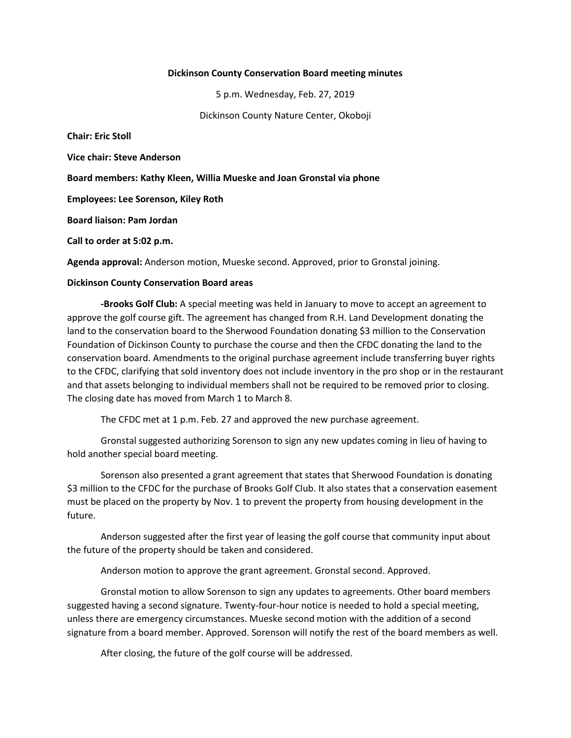#### **Dickinson County Conservation Board meeting minutes**

5 p.m. Wednesday, Feb. 27, 2019

Dickinson County Nature Center, Okoboji

**Chair: Eric Stoll**

**Vice chair: Steve Anderson**

**Board members: Kathy Kleen, Willia Mueske and Joan Gronstal via phone**

**Employees: Lee Sorenson, Kiley Roth**

**Board liaison: Pam Jordan**

**Call to order at 5:02 p.m.**

**Agenda approval:** Anderson motion, Mueske second. Approved, prior to Gronstal joining.

#### **Dickinson County Conservation Board areas**

**-Brooks Golf Club:** A special meeting was held in January to move to accept an agreement to approve the golf course gift. The agreement has changed from R.H. Land Development donating the land to the conservation board to the Sherwood Foundation donating \$3 million to the Conservation Foundation of Dickinson County to purchase the course and then the CFDC donating the land to the conservation board. Amendments to the original purchase agreement include transferring buyer rights to the CFDC, clarifying that sold inventory does not include inventory in the pro shop or in the restaurant and that assets belonging to individual members shall not be required to be removed prior to closing. The closing date has moved from March 1 to March 8.

The CFDC met at 1 p.m. Feb. 27 and approved the new purchase agreement.

Gronstal suggested authorizing Sorenson to sign any new updates coming in lieu of having to hold another special board meeting.

Sorenson also presented a grant agreement that states that Sherwood Foundation is donating \$3 million to the CFDC for the purchase of Brooks Golf Club. It also states that a conservation easement must be placed on the property by Nov. 1 to prevent the property from housing development in the future.

Anderson suggested after the first year of leasing the golf course that community input about the future of the property should be taken and considered.

Anderson motion to approve the grant agreement. Gronstal second. Approved.

Gronstal motion to allow Sorenson to sign any updates to agreements. Other board members suggested having a second signature. Twenty-four-hour notice is needed to hold a special meeting, unless there are emergency circumstances. Mueske second motion with the addition of a second signature from a board member. Approved. Sorenson will notify the rest of the board members as well.

After closing, the future of the golf course will be addressed.